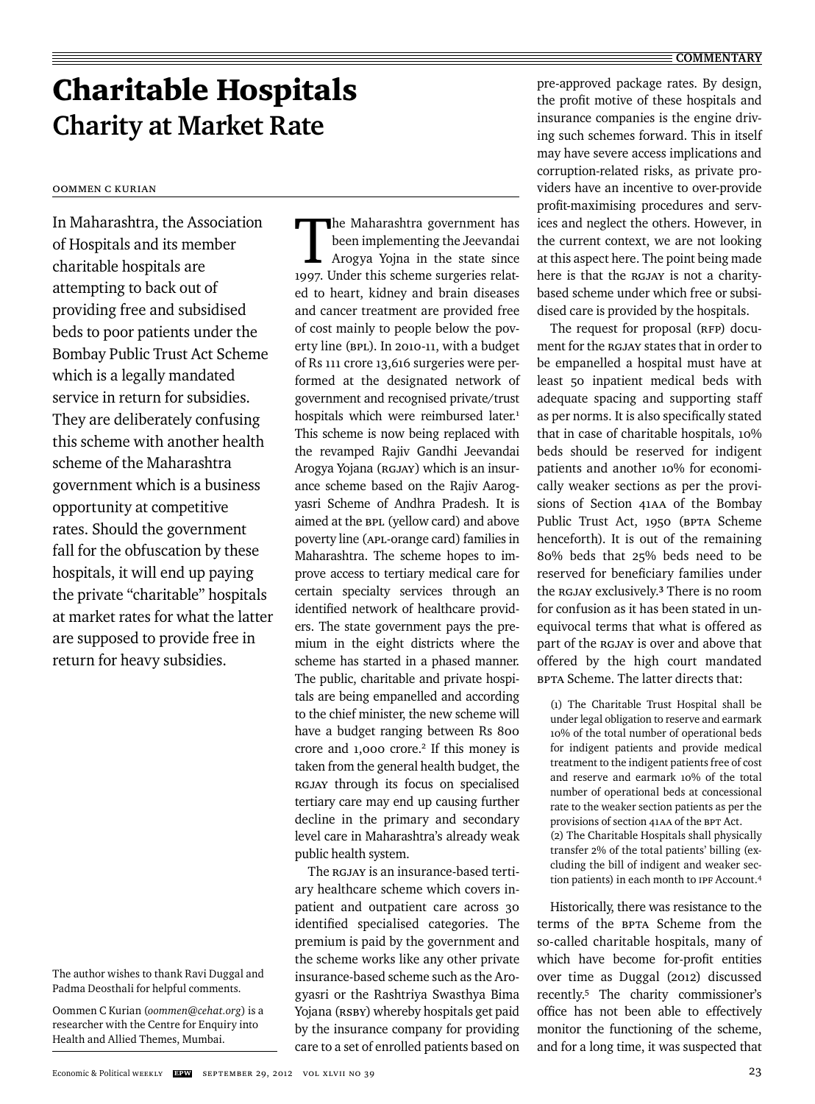# Charitable Hospitals **Charity at Market Rate**

Oommen C Kurian

In Maharashtra, the Association of Hospitals and its member charitable hospitals are attempting to back out of providing free and subsidised beds to poor patients under the Bombay Public Trust Act Scheme which is a legally mandated service in return for subsidies. They are deliberately confusing this scheme with another health scheme of the Maharashtra government which is a business opportunity at competitive rates. Should the government fall for the obfuscation by these hospitals, it will end up paying the private "charitable" hospitals at market rates for what the latter are supposed to provide free in return for heavy subsidies.

Oommen C Kurian (*oommen@cehat.org*) is a researcher with the Centre for Enquiry into Health and Allied Themes, Mumbai.

The Maharashtra government has been implementing the Jeevandai Arogya Yojna in the state since 1997. Under this scheme surgeries related to heart, kidney and brain diseases and cancer treatment are provided free of cost mainly to people below the poverty line (BPL). In 2010-11, with a budget of Rs 111 crore 13,616 surgeries were performed at the designated network of government and recognised private/trust hospitals which were reimbursed later.<sup>1</sup> This scheme is now being replaced with the revamped Rajiv Gandhi Jeevandai Arogya Yojana (RGJAY) which is an insurance scheme based on the Rajiv Aarogyasri Scheme of Andhra Pradesh. It is aimed at the BPL (yellow card) and above poverty line (APL-orange card) families in Maharashtra. The scheme hopes to improve access to tertiary medical care for certain specialty services through an identified network of healthcare providers. The state government pays the premium in the eight districts where the scheme has started in a phased manner. The public, charitable and private hospitals are being empanelled and according to the chief minister, the new scheme will have a budget ranging between Rs 800 crore and 1,000 crore.<sup>2</sup> If this money is taken from the general health budget, the RGJAY through its focus on specialised tertiary care may end up causing further decline in the primary and secondary level care in Maharashtra's already weak public health system.

The RGJAY is an insurance-based tertiary healthcare scheme which covers inpatient and outpatient care across 30 identified specialised categories. The premium is paid by the government and the scheme works like any other private insurance-based scheme such as the Arogyasri or the Rashtriya Swasthya Bima Yojana (RSBY) whereby hospitals get paid by the insurance company for providing care to a set of enrolled patients based on pre-approved package rates. By design, the profit motive of these hospitals and insurance companies is the engine driving such schemes forward. This in itself may have severe access implications and corruption-related risks, as private providers have an incentive to over-provide profit-maximising procedures and services and neglect the others. However, in the current context, we are not looking at this aspect here. The point being made here is that the RGJAY is not a charitybased scheme under which free or subsidised care is provided by the hospitals.

The request for proposal (RFP) document for the RGJAY states that in order to be empanelled a hospital must have at least 50 inpatient medical beds with adequate spacing and supporting staff as per norms. It is also specifically stated that in case of charitable hospitals, 10% beds should be reserved for indigent patients and another 10% for economically weaker sections as per the provisions of Section 41AA of the Bombay Public Trust Act, 1950 (BPTA Scheme henceforth). It is out of the remaining 80% beds that 25% beds need to be reserved for beneficiary families under the RGJAY exclusively.**<sup>3</sup>** There is no room for confusion as it has been stated in unequivocal terms that what is offered as part of the RGJAY is over and above that offered by the high court mandated BPTA Scheme. The latter directs that:

(1) The Charitable Trust Hospital shall be under legal obligation to reserve and earmark 10% of the total number of operational beds for indigent patients and provide medical treatment to the indigent patients free of cost and reserve and earmark 10% of the total number of operational beds at concessional rate to the weaker section patients as per the provisions of section 41AA of the BPT Act. (2) The Charitable Hospitals shall physically transfer 2% of the total patients' billing (excluding the bill of indigent and weaker section patients) in each month to IPF Account.4

Historically, there was resistance to the terms of the BPTA Scheme from the so-called charitable hospitals, many of which have become for-profit entities over time as Duggal (2012) discussed recently.5 The charity commissioner's office has not been able to effectively monitor the functioning of the scheme, and for a long time, it was suspected that

The author wishes to thank Ravi Duggal and Padma Deosthali for helpful comments.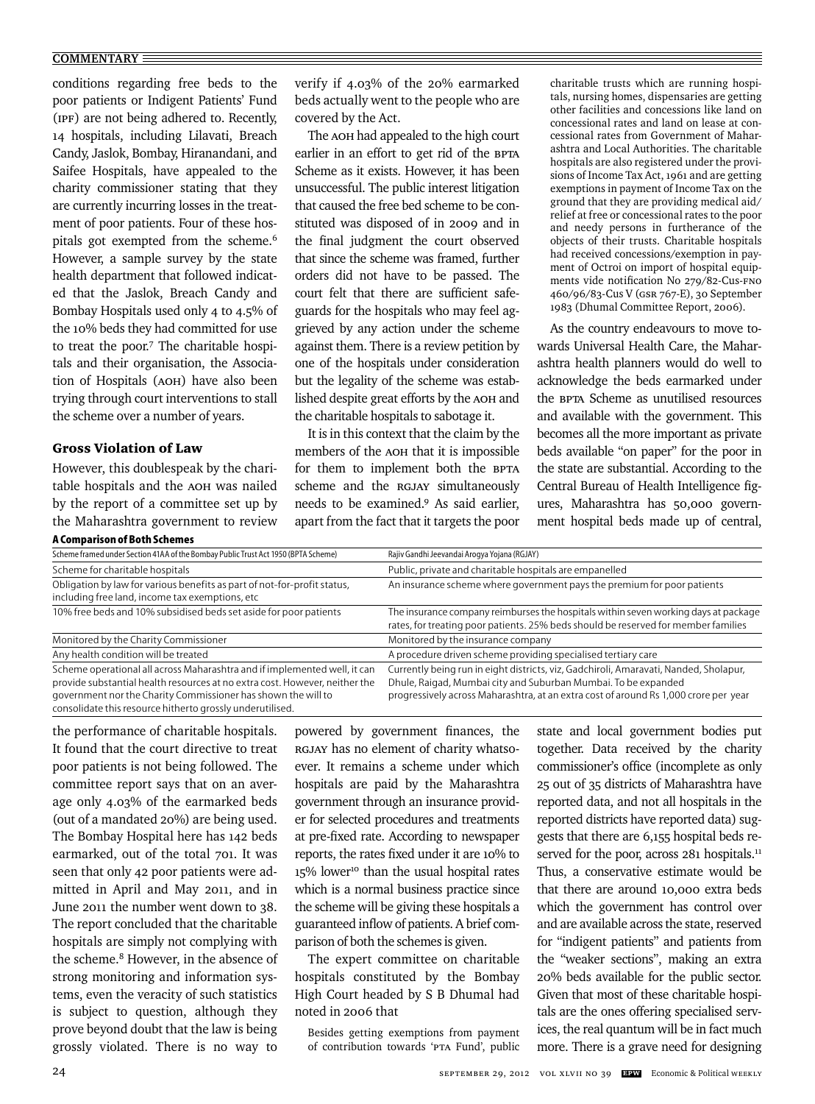#### **COMMENTARY**

conditions regarding free beds to the poor patients or Indigent Patients' Fund (IPF) are not being adhered to. Recently, 14 hospitals, including Lilavati, Breach Candy, Jaslok, Bombay, Hiranandani, and Saifee Hospitals, have appealed to the charity commissioner stating that they are currently incurring losses in the treatment of poor patients. Four of these hospitals got exempted from the scheme.<sup>6</sup> However, a sample survey by the state health department that followed indicated that the Jaslok, Breach Candy and Bombay Hospitals used only 4 to 4.5% of the 10% beds they had committed for use to treat the poor.7 The charitable hospitals and their organisation, the Association of Hospitals (AOH) have also been trying through court interventions to stall the scheme over a number of years.

### Gross Violation of Law

However, this doublespeak by the charitable hospitals and the AOH was nailed by the report of a committee set up by the Maharashtra government to review verify if 4.03% of the 20% earmarked beds actually went to the people who are covered by the Act.

The AOH had appealed to the high court earlier in an effort to get rid of the BPTA Scheme as it exists. However, it has been unsuccessful. The public interest litigation that caused the free bed scheme to be constituted was disposed of in 2009 and in the final judgment the court observed that since the scheme was framed, further orders did not have to be passed. The court felt that there are sufficient safeguards for the hospitals who may feel aggrieved by any action under the scheme against them. There is a review petition by one of the hospitals under consideration but the legality of the scheme was established despite great efforts by the AOH and the charitable hospitals to sabotage it.

It is in this context that the claim by the members of the AOH that it is impossible for them to implement both the BPTA scheme and the RGJAY simultaneously needs to be examined.9 As said earlier, apart from the fact that it targets the poor

charitable trusts which are running hospitals, nursing homes, dispensaries are getting other facilities and concessions like land on concessional rates and land on lease at concessional rates from Government of Maharashtra and Local Authorities. The charitable hospitals are also registered under the provisions of Income Tax Act, 1961 and are getting exemptions in payment of Income Tax on the ground that they are providing medical aid/ relief at free or concessional rates to the poor and needy persons in furtherance of the objects of their trusts. Charitable hospitals had received concessions/exemption in payment of Octroi on import of hospital equipments vide notification No 279/82-Cus-FNO 460/96/83-Cus V (GSR 767-E), 30 September 1983 (Dhumal Committee Report, 2006).

As the country endeavours to move towards Universal Health Care, the Maharashtra health planners would do well to acknowledge the beds earmarked under the BPTA Scheme as unutilised resources and available with the government. This becomes all the more important as private beds available "on paper" for the poor in the state are substantial. According to the Central Bureau of Health Intelligence figures, Maharashtra has 50,000 government hospital beds made up of central,

| A Comparison of Both Schemes                                                                                                                                                                                                                                                           |                                                                                                                                                                                                                                                 |
|----------------------------------------------------------------------------------------------------------------------------------------------------------------------------------------------------------------------------------------------------------------------------------------|-------------------------------------------------------------------------------------------------------------------------------------------------------------------------------------------------------------------------------------------------|
| Scheme framed under Section 41AA of the Bombay Public Trust Act 1950 (BPTA Scheme)                                                                                                                                                                                                     | Rajiv Gandhi Jeevandai Aroqya Yojana (RGJAY)                                                                                                                                                                                                    |
| Scheme for charitable hospitals                                                                                                                                                                                                                                                        | Public, private and charitable hospitals are empanelled                                                                                                                                                                                         |
| Obligation by law for various benefits as part of not-for-profit status,<br>including free land, income tax exemptions, etc                                                                                                                                                            | An insurance scheme where government pays the premium for poor patients                                                                                                                                                                         |
| 10% free beds and 10% subsidised beds set aside for poor patients                                                                                                                                                                                                                      | The insurance company reimburses the hospitals within seven working days at package<br>rates, for treating poor patients. 25% beds should be reserved for member families                                                                       |
| Monitored by the Charity Commissioner                                                                                                                                                                                                                                                  | Monitored by the insurance company                                                                                                                                                                                                              |
| Any health condition will be treated                                                                                                                                                                                                                                                   | A procedure driven scheme providing specialised tertiary care                                                                                                                                                                                   |
| Scheme operational all across Maharashtra and if implemented well, it can<br>provide substantial health resources at no extra cost. However, neither the<br>government nor the Charity Commissioner has shown the will to<br>consolidate this resource hitherto grossly underutilised. | Currently being run in eight districts, viz, Gadchiroli, Amaravati, Nanded, Sholapur,<br>Dhule, Raigad, Mumbai city and Suburban Mumbai. To be expanded<br>progressively across Maharashtra, at an extra cost of around Rs 1,000 crore per year |

the performance of charitable hospitals. It found that the court directive to treat poor patients is not being followed. The committee report says that on an average only 4.03% of the earmarked beds (out of a mandated 20%) are being used. The Bombay Hospital here has 142 beds earmarked, out of the total 701. It was seen that only 42 poor patients were admitted in April and May 2011, and in June 2011 the number went down to 38. The report concluded that the charitable hospitals are simply not complying with the scheme.<sup>8</sup> However, in the absence of strong monitoring and information systems, even the veracity of such statistics is subject to question, although they prove beyond doubt that the law is being grossly violated. There is no way to powered by government finances, the RGJAY has no element of charity whatsoever. It remains a scheme under which hospitals are paid by the Maharashtra government through an insurance provider for selected procedures and treatments at pre-fixed rate. According to newspaper reports, the rates fixed under it are 10% to 15% lower<sup>10</sup> than the usual hospital rates which is a normal business practice since the scheme will be giving these hospitals a guaranteed inflow of patients. A brief comparison of both the schemes is given.

The expert committee on charitable hospitals constituted by the Bombay High Court headed by S B Dhumal had noted in 2006 that

Besides getting exemptions from payment of contribution towards 'PTA Fund', public state and local government bodies put together. Data received by the charity commissioner's office (incomplete as only 25 out of 35 districts of Maharashtra have reported data, and not all hospitals in the reported districts have reported data) suggests that there are 6,155 hospital beds reserved for the poor, across 281 hospitals.<sup>11</sup> Thus, a conservative estimate would be that there are around 10,000 extra beds which the government has control over and are available across the state, reserved for "indigent patients" and patients from the "weaker sections", making an extra 20% beds available for the public sector. Given that most of these charitable hospitals are the ones offering specialised services, the real quantum will be in fact much more. There is a grave need for designing